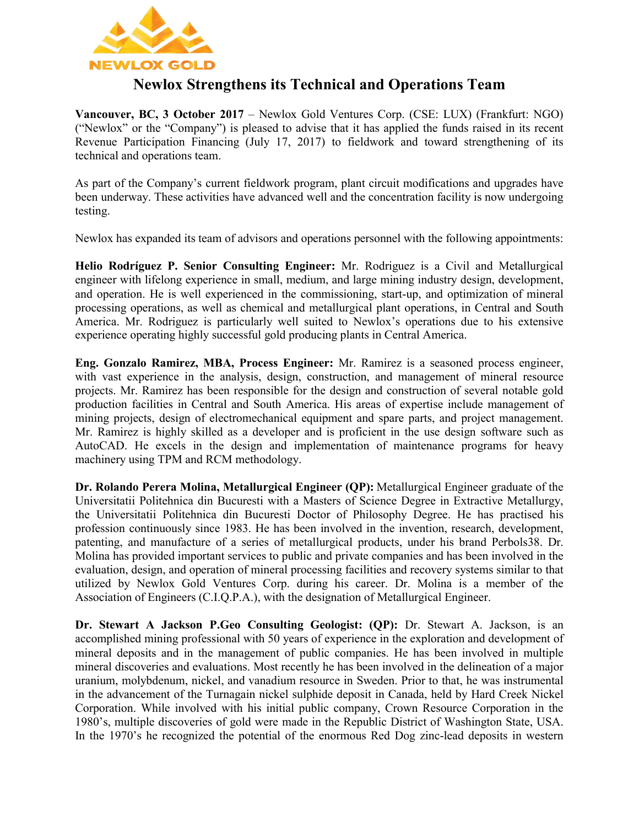

# **Newlox Strengthens its Technical and Operations Team**

**Vancouver, BC, 3 October 2017** – Newlox Gold Ventures Corp. (CSE: LUX) (Frankfurt: NGO) ("Newlox" or the "Company") is pleased to advise that it has applied the funds raised in its recent Revenue Participation Financing (July 17, 2017) to fieldwork and toward strengthening of its technical and operations team.

As part of the Company's current fieldwork program, plant circuit modifications and upgrades have been underway. These activities have advanced well and the concentration facility is now undergoing testing.

Newlox has expanded its team of advisors and operations personnel with the following appointments:

**Helio Rodríguez P. Senior Consulting Engineer:** Mr. Rodriguez is a Civil and Metallurgical engineer with lifelong experience in small, medium, and large mining industry design, development, and operation. He is well experienced in the commissioning, start-up, and optimization of mineral processing operations, as well as chemical and metallurgical plant operations, in Central and South America. Mr. Rodriguez is particularly well suited to Newlox's operations due to his extensive experience operating highly successful gold producing plants in Central America.

**Eng. Gonzalo Ramirez, MBA, Process Engineer:** Mr. Ramirez is a seasoned process engineer, with vast experience in the analysis, design, construction, and management of mineral resource projects. Mr. Ramirez has been responsible for the design and construction of several notable gold production facilities in Central and South America. His areas of expertise include management of mining projects, design of electromechanical equipment and spare parts, and project management. Mr. Ramirez is highly skilled as a developer and is proficient in the use design software such as AutoCAD. He excels in the design and implementation of maintenance programs for heavy machinery using TPM and RCM methodology.

**Dr. Rolando Perera Molina, Metallurgical Engineer (QP):** Metallurgical Engineer graduate of the Universitatii Politehnica din Bucuresti with a Masters of Science Degree in Extractive Metallurgy, the Universitatii Politehnica din Bucuresti Doctor of Philosophy Degree. He has practised his profession continuously since 1983. He has been involved in the invention, research, development, patenting, and manufacture of a series of metallurgical products, under his brand Perbols38. Dr. Molina has provided important services to public and private companies and has been involved in the evaluation, design, and operation of mineral processing facilities and recovery systems similar to that utilized by Newlox Gold Ventures Corp. during his career. Dr. Molina is a member of the Association of Engineers (C.I.Q.P.A.), with the designation of Metallurgical Engineer.

**Dr. Stewart A Jackson P.Geo Consulting Geologist: (QP):** Dr. Stewart A. Jackson, is an accomplished mining professional with 50 years of experience in the exploration and development of mineral deposits and in the management of public companies. He has been involved in multiple mineral discoveries and evaluations. Most recently he has been involved in the delineation of a major uranium, molybdenum, nickel, and vanadium resource in Sweden. Prior to that, he was instrumental in the advancement of the Turnagain nickel sulphide deposit in Canada, held by Hard Creek Nickel Corporation. While involved with his initial public company, Crown Resource Corporation in the 1980's, multiple discoveries of gold were made in the Republic District of Washington State, USA. In the 1970's he recognized the potential of the enormous Red Dog zinc-lead deposits in western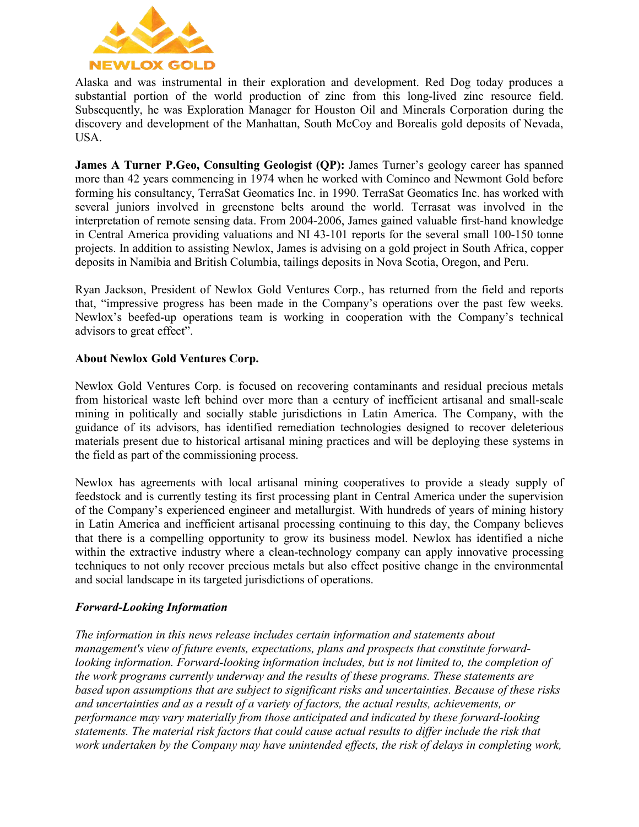

Alaska and was instrumental in their exploration and development. Red Dog today produces a substantial portion of the world production of zinc from this long-lived zinc resource field. Subsequently, he was Exploration Manager for Houston Oil and Minerals Corporation during the discovery and development of the Manhattan, South McCoy and Borealis gold deposits of Nevada, USA.

**James A Turner P.Geo, Consulting Geologist (QP):** James Turner's geology career has spanned more than 42 years commencing in 1974 when he worked with Cominco and Newmont Gold before forming his consultancy, TerraSat Geomatics Inc. in 1990. TerraSat Geomatics Inc. has worked with several juniors involved in greenstone belts around the world. Terrasat was involved in the interpretation of remote sensing data. From 2004-2006, James gained valuable first-hand knowledge in Central America providing valuations and NI 43-101 reports for the several small 100-150 tonne projects. In addition to assisting Newlox, James is advising on a gold project in South Africa, copper deposits in Namibia and British Columbia, tailings deposits in Nova Scotia, Oregon, and Peru.

Ryan Jackson, President of Newlox Gold Ventures Corp., has returned from the field and reports that, "impressive progress has been made in the Company's operations over the past few weeks. Newlox's beefed-up operations team is working in cooperation with the Company's technical advisors to great effect".

### **About Newlox Gold Ventures Corp.**

Newlox Gold Ventures Corp. is focused on recovering contaminants and residual precious metals from historical waste left behind over more than a century of inefficient artisanal and small-scale mining in politically and socially stable jurisdictions in Latin America. The Company, with the guidance of its advisors, has identified remediation technologies designed to recover deleterious materials present due to historical artisanal mining practices and will be deploying these systems in the field as part of the commissioning process.

Newlox has agreements with local artisanal mining cooperatives to provide a steady supply of feedstock and is currently testing its first processing plant in Central America under the supervision of the Company's experienced engineer and metallurgist. With hundreds of years of mining history in Latin America and inefficient artisanal processing continuing to this day, the Company believes that there is a compelling opportunity to grow its business model. Newlox has identified a niche within the extractive industry where a clean-technology company can apply innovative processing techniques to not only recover precious metals but also effect positive change in the environmental and social landscape in its targeted jurisdictions of operations.

#### *Forward-Looking Information*

*The information in this news release includes certain information and statements about management's view of future events, expectations, plans and prospects that constitute forwardlooking information. Forward-looking information includes, but is not limited to, the completion of the work programs currently underway and the results of these programs. These statements are based upon assumptions that are subject to significant risks and uncertainties. Because of these risks and uncertainties and as a result of a variety of factors, the actual results, achievements, or performance may vary materially from those anticipated and indicated by these forward-looking statements. The material risk factors that could cause actual results to differ include the risk that work undertaken by the Company may have unintended effects, the risk of delays in completing work,*